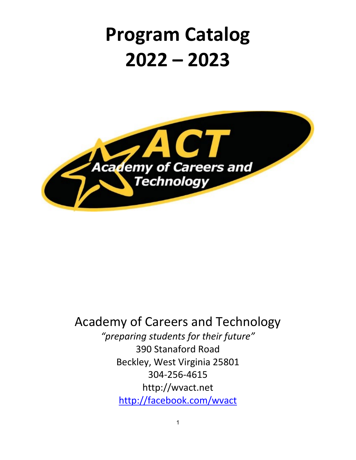# **Program Catalog 2022 – 2023**



# Academy of Careers and Technology

*"preparing students for their future"* 390 Stanaford Road Beckley, West Virginia 25801 304-256-4615 http://wvact.net <http://facebook.com/wvact>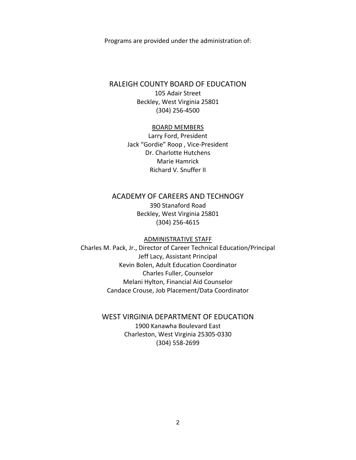Programs are provided under the administration of:

#### RALEIGH COUNTY BOARD OF EDUCATION

105 Adair Street Beckley, West Virginia 25801 (304) 256-4500

#### BOARD MEMBERS

Larry Ford, President Jack "Gordie" Roop , Vice-President Dr. Charlotte Hutchens Marie Hamrick Richard V. Snuffer II

# ACADEMY OF CAREERS AND TECHNOGY

390 Stanaford Road Beckley, West Virginia 25801 (304) 256-4615

#### ADMINISTRATIVE STAFF

Charles M. Pack, Jr., Director of Career Technical Education/Principal Jeff Lacy, Assistant Principal Kevin Bolen, Adult Education Coordinator Charles Fuller, Counselor Melani Hylton, Financial Aid Counselor Candace Crouse, Job Placement/Data Coordinator

# WEST VIRGINIA DEPARTMENT OF EDUCATION

1900 Kanawha Boulevard East Charleston, West Virginia 25305-0330 (304) 558-2699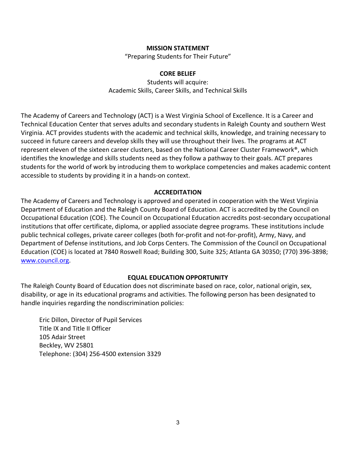#### **MISSION STATEMENT**

"Preparing Students for Their Future"

#### **CORE BELIEF**

Students will acquire: Academic Skills, Career Skills, and Technical Skills

<span id="page-2-0"></span>The Academy of Careers and Technology (ACT) is a West Virginia School of Excellence. It is a Career and Technical Education Center that serves adults and secondary students in Raleigh County and southern West Virginia. ACT provides students with the academic and technical skills, knowledge, and training necessary to succeed in future careers and develop skills they will use throughout their lives. The programs at ACT represent eleven of the sixteen career clusters, based on the National Career Cluster Framework®, which identifies the knowledge and skills students need as they follow a pathway to their goals. ACT prepares students for the world of work by introducing them to workplace competencies and makes academic content accessible to students by providing it in a hands-on context.

#### **ACCREDITATION**

The Academy of Careers and Technology is approved and operated in cooperation with the West Virginia Department of Education and the Raleigh County Board of Education. ACT is accredited by the Council on Occupational Education (COE). The Council on Occupational Education accredits post-secondary occupational institutions that offer certificate, diploma, or applied associate degree programs. These institutions include public technical colleges, private career colleges (both for-profit and not-for-profit), Army, Navy, and Department of Defense institutions, and Job Corps Centers. The Commission of the Council on Occupational Education (COE) is located at 7840 Roswell Road; Building 300, Suite 325; Atlanta GA 30350; (770) 396-3898; [www.council.org.](http://www.council.org/)

#### **EQUAL EDUCATION OPPORTUNITY**

The Raleigh County Board of Education does not discriminate based on race, color, national origin, sex, disability, or age in its educational programs and activities. The following person has been designated to handle inquiries regarding the nondiscrimination policies:

Eric Dillon, Director of Pupil Services Title IX and Title II Officer 105 Adair Street Beckley, WV 25801 Telephone: (304) 256-4500 extension 3329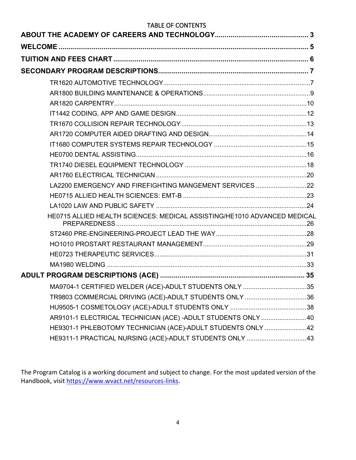# TABLE OF CONTENTS

| LA2200 EMERGENCY AND FIREFIGHTING MANGEMENT SERVICES 22                  |  |
|--------------------------------------------------------------------------|--|
|                                                                          |  |
|                                                                          |  |
| HE0715 ALLIED HEALTH SCIENCES: MEDICAL ASSISTING/HE1010 ADVANCED MEDICAL |  |
|                                                                          |  |
|                                                                          |  |
|                                                                          |  |
|                                                                          |  |
|                                                                          |  |
| MA9704-1 CERTIFIED WELDER (ACE)-ADULT STUDENTS ONLY 35                   |  |
| TR9803 COMMERCIAL DRIVING (ACE)-ADULT STUDENTS ONLY 36                   |  |
|                                                                          |  |
| AR9101-1 ELECTRICAL TECHNICIAN (ACE) -ADULT STUDENTS ONLY 40             |  |
| HE9301-1 PHLEBOTOMY TECHNICIAN (ACE)-ADULT STUDENTS ONLY 42              |  |
| HE9311-1 PRACTICAL NURSING (ACE)-ADULT STUDENTS ONLY 43                  |  |

The Program Catalog is a working document and subject to change. For the most updated version of the Handbook, visit [https://www.wvact.net/resources-links.](https://www.wvact.net/resources-links)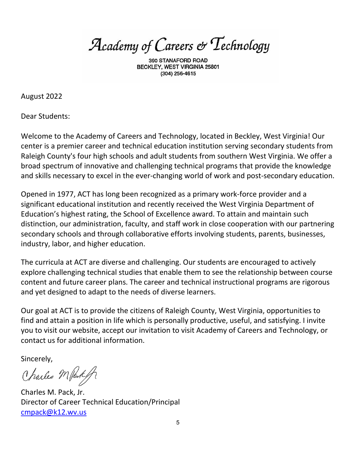Academy of Careers & Technology

BECKLEY, WEST VIRGINIA 25801 (304) 256-4615

August 2022

Dear Students:

Welcome to the Academy of Careers and Technology, located in Beckley, West Virginia! Our center is a premier career and technical education institution serving secondary students from Raleigh County's four high schools and adult students from southern West Virginia. We offer a broad spectrum of innovative and challenging technical programs that provide the knowledge and skills necessary to excel in the ever-changing world of work and post-secondary education.

Opened in 1977, ACT has long been recognized as a primary work-force provider and a significant educational institution and recently received the West Virginia Department of Education's highest rating, the School of Excellence award. To attain and maintain such distinction, our administration, faculty, and staff work in close cooperation with our partnering secondary schools and through collaborative efforts involving students, parents, businesses, industry, labor, and higher education.

The curricula at ACT are diverse and challenging. Our students are encouraged to actively explore challenging technical studies that enable them to see the relationship between course content and future career plans. The career and technical instructional programs are rigorous and yet designed to adapt to the needs of diverse learners.

Our goal at ACT is to provide the citizens of Raleigh County, West Virginia, opportunities to find and attain a position in life which is personally productive, useful, and satisfying. I invite you to visit our website, accept our invitation to visit Academy of Careers and Technology, or contact us for additional information.

Sincerely,

Charles Marte of

Charles M. Pack, Jr. Director of Career Technical Education/Principal [cmpack@k12.wv.us](mailto:cmpack@k12.wv.us)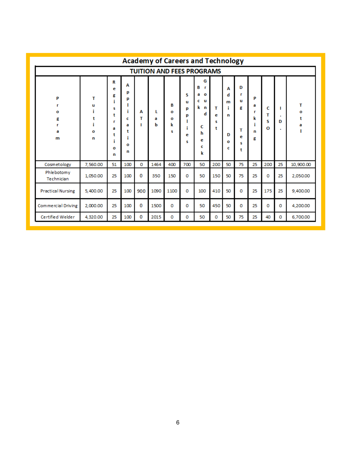<span id="page-5-0"></span>

|                                 |                                  |                                                          |                                           |             |             | <b>Academy of Careers and Technology</b> |                                 |                                                                                 |                  |                                       |                                      |                                 |                         |                             |                       |
|---------------------------------|----------------------------------|----------------------------------------------------------|-------------------------------------------|-------------|-------------|------------------------------------------|---------------------------------|---------------------------------------------------------------------------------|------------------|---------------------------------------|--------------------------------------|---------------------------------|-------------------------|-----------------------------|-----------------------|
|                                 | <b>TUITION AND FEES PROGRAMS</b> |                                                          |                                           |             |             |                                          |                                 |                                                                                 |                  |                                       |                                      |                                 |                         |                             |                       |
| P<br>r<br>o<br>g<br>r<br>a<br>m | т<br>u<br>i<br>t<br>î.<br>o<br>n | R<br>e<br>g<br>i<br>s<br>t<br>r<br>а<br>t<br>i<br>O<br>n | А<br>р<br>р<br>c<br>a<br>t<br>п<br>o<br>n | А<br>т<br>т | L<br>a<br>ь | В<br>$\Omega$<br>O<br>k<br>s             | s<br>u<br>р<br>р<br>i<br>e<br>s | G<br>в<br>r<br>$\mathbf{o}$<br>а<br>c<br>u<br>k n<br>d<br>c<br>h<br>е<br>c<br>k | т<br>e<br>s<br>t | А<br>d<br>m<br>î.<br>n<br>D<br>o<br>c | D<br>r<br>u<br>g<br>т<br>e<br>s<br>t | P<br>a<br>r<br>k<br>i<br>n<br>g | с<br>т<br>s<br>$\Omega$ | п<br>$\mathbf{r}$<br>D<br>٠ | т<br>o<br>t<br>a<br>T |
| Cosmetology                     | 7,560.00                         | 51                                                       | 100                                       | o           | 1464        | 400                                      | 700                             | 50                                                                              | 200              | 50                                    | 75                                   | 25                              | 200                     | 25                          | 10,900.00             |
| Phlebotomy<br>Technician        | 1,050.00                         | 25                                                       | 100                                       | 0           | 350         | 150                                      | o                               | 50                                                                              | 150              | 50                                    | 75                                   | 25                              | 0                       | 25                          | 2,050.00              |
| <b>Practical Nursing</b>        | 5,400.00                         | 25                                                       | 100                                       | 900         | 1090        | 1100                                     | 0                               | 100                                                                             | 410              | 50                                    | 0                                    | 25                              | 175                     | 25                          | 9,400.00              |
| <b>Commercial Driving</b>       | 2,000.00                         | 25                                                       | 100                                       | 0           | 1500        | 0                                        | 0                               | 50                                                                              | 450              | 50                                    | o                                    | 25                              | o                       | $\mathbf 0$                 | 4,200.00              |
| Certified Welder                | 4,320.00                         | 25                                                       | 100                                       | 0           | 2015        | o                                        | 0                               | 50                                                                              | 0                | 50                                    | 75                                   | 25                              | 40                      | 0                           | 6.700.00              |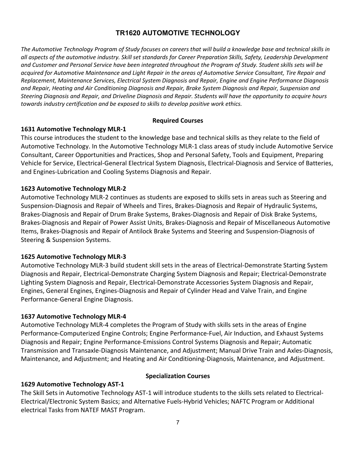# **TR1620 AUTOMOTIVE TECHNOLOGY**

<span id="page-6-1"></span><span id="page-6-0"></span>*The Automotive Technology Program of Study focuses on careers that will build a knowledge base and technical skills in all aspects of the automotive industry. Skill set standards for Career Preparation Skills, Safety, Leadership Development and Customer and Personal Service have been integrated throughout the Program of Study. Student skills sets will be acquired for Automotive Maintenance and Light Repair in the areas of Automotive Service Consultant, Tire Repair and Replacement, Maintenance Services, Electrical System Diagnosis and Repair, Engine and Engine Performance Diagnosis and Repair, Heating and Air Conditioning Diagnosis and Repair, Brake System Diagnosis and Repair, Suspension and Steering Diagnosis and Repair, and Driveline Diagnosis and Repair. Students will have the opportunity to acquire hours towards industry certification and be exposed to skills to develop positive work ethics.*

#### **Required Courses**

## **1631 Automotive Technology MLR-1**

This course introduces the student to the knowledge base and technical skills as they relate to the field of Automotive Technology. In the Automotive Technology MLR-1 class areas of study include Automotive Service Consultant, Career Opportunities and Practices, Shop and Personal Safety, Tools and Equipment, Preparing Vehicle for Service, Electrical-General Electrical System Diagnosis, Electrical-Diagnosis and Service of Batteries, and Engines-Lubrication and Cooling Systems Diagnosis and Repair.

## **1623 Automotive Technology MLR-2**

Automotive Technology MLR-2 continues as students are exposed to skills sets in areas such as Steering and Suspension-Diagnosis and Repair of Wheels and Tires, Brakes-Diagnosis and Repair of Hydraulic Systems, Brakes-Diagnosis and Repair of Drum Brake Systems, Brakes-Diagnosis and Repair of Disk Brake Systems, Brakes-Diagnosis and Repair of Power Assist Units, Brakes-Diagnosis and Repair of Miscellaneous Automotive Items, Brakes-Diagnosis and Repair of Antilock Brake Systems and Steering and Suspension-Diagnosis of Steering & Suspension Systems.

# **1625 Automotive Technology MLR-3**

Automotive Technology MLR-3 build student skill sets in the areas of Electrical-Demonstrate Starting System Diagnosis and Repair, Electrical-Demonstrate Charging System Diagnosis and Repair; Electrical-Demonstrate Lighting System Diagnosis and Repair, Electrical-Demonstrate Accessories System Diagnosis and Repair, Engines, General Engines, Engines-Diagnosis and Repair of Cylinder Head and Valve Train, and Engine Performance-General Engine Diagnosis.

# **1637 Automotive Technology MLR-4**

Automotive Technology MLR-4 completes the Program of Study with skills sets in the areas of Engine Performance-Computerized Engine Controls; Engine Performance-Fuel, Air Induction, and Exhaust Systems Diagnosis and Repair; Engine Performance-Emissions Control Systems Diagnosis and Repair; Automatic Transmission and Transaxle-Diagnosis Maintenance, and Adjustment; Manual Drive Train and Axles-Diagnosis, Maintenance, and Adjustment; and Heating and Air Conditioning-Diagnosis, Maintenance, and Adjustment.

# **1629 Automotive Technology AST-1**

#### **Specialization Courses**

The Skill Sets in Automotive Technology AST-1 will introduce students to the skills sets related to Electrical-Electrical/Electronic System Basics; and Alternative Fuels-Hybrid Vehicles; NAFTC Program or Additional electrical Tasks from NATEF MAST Program.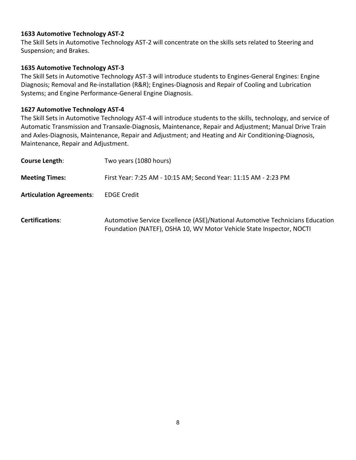#### **1633 Automotive Technology AST-2**

The Skill Sets in Automotive Technology AST-2 will concentrate on the skills sets related to Steering and Suspension; and Brakes.

## **1635 Automotive Technology AST-3**

The Skill Sets in Automotive Technology AST-3 will introduce students to Engines-General Engines: Engine Diagnosis; Removal and Re-installation (R&R); Engines-Diagnosis and Repair of Cooling and Lubrication Systems; and Engine Performance-General Engine Diagnosis.

#### **1627 Automotive Technology AST-4**

The Skill Sets in Automotive Technology AST-4 will introduce students to the skills, technology, and service of Automatic Transmission and Transaxle-Diagnosis, Maintenance, Repair and Adjustment; Manual Drive Train and Axles-Diagnosis, Maintenance, Repair and Adjustment; and Heating and Air Conditioning-Diagnosis, Maintenance, Repair and Adjustment.

| Course Length:                  | Two years (1080 hours)                                                                                                                                |
|---------------------------------|-------------------------------------------------------------------------------------------------------------------------------------------------------|
| <b>Meeting Times:</b>           | First Year: 7:25 AM - 10:15 AM; Second Year: 11:15 AM - 2:23 PM                                                                                       |
| <b>Articulation Agreements:</b> | <b>EDGE Credit</b>                                                                                                                                    |
| <b>Certifications:</b>          | Automotive Service Excellence (ASE)/National Automotive Technicians Education<br>Foundation (NATEF), OSHA 10, WV Motor Vehicle State Inspector, NOCTI |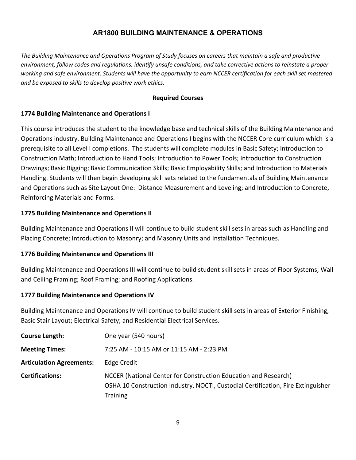# **AR1800 BUILDING MAINTENANCE & OPERATIONS**

<span id="page-8-0"></span>*The Building Maintenance and Operations Program of Study focuses on careers that maintain a safe and productive environment, follow codes and regulations, identify unsafe conditions, and take corrective actions to reinstate a proper working and safe environment. Students will have the opportunity to earn NCCER certification for each skill set mastered and be exposed to skills to develop positive work ethics.*

#### **Required Courses**

#### **1774 Building Maintenance and Operations I**

This course introduces the student to the knowledge base and technical skills of the Building Maintenance and Operations industry. Building Maintenance and Operations I begins with the NCCER Core curriculum which is a prerequisite to all Level I completions. The students will complete modules in Basic Safety; Introduction to Construction Math; Introduction to Hand Tools; Introduction to Power Tools; Introduction to Construction Drawings; Basic Rigging; Basic Communication Skills; Basic Employability Skills; and Introduction to Materials Handling. Students will then begin developing skill sets related to the fundamentals of Building Maintenance and Operations such as Site Layout One: Distance Measurement and Leveling; and Introduction to Concrete, Reinforcing Materials and Forms.

#### **1775 Building Maintenance and Operations II**

Building Maintenance and Operations II will continue to build student skill sets in areas such as Handling and Placing Concrete; Introduction to Masonry; and Masonry Units and Installation Techniques.

#### **1776 Building Maintenance and Operations III**

Building Maintenance and Operations III will continue to build student skill sets in areas of Floor Systems; Wall and Ceiling Framing; Roof Framing; and Roofing Applications.

#### **1777 Building Maintenance and Operations IV**

Building Maintenance and Operations IV will continue to build student skill sets in areas of Exterior Finishing; Basic Stair Layout; Electrical Safety; and Residential Electrical Services.

| <b>Course Length:</b>           | One year (540 hours)                                                                                                                                                   |
|---------------------------------|------------------------------------------------------------------------------------------------------------------------------------------------------------------------|
| <b>Meeting Times:</b>           | 7:25 AM - 10:15 AM or 11:15 AM - 2:23 PM                                                                                                                               |
| <b>Articulation Agreements:</b> | Edge Credit                                                                                                                                                            |
| <b>Certifications:</b>          | NCCER (National Center for Construction Education and Research)<br>OSHA 10 Construction Industry, NOCTI, Custodial Certification, Fire Extinguisher<br><b>Training</b> |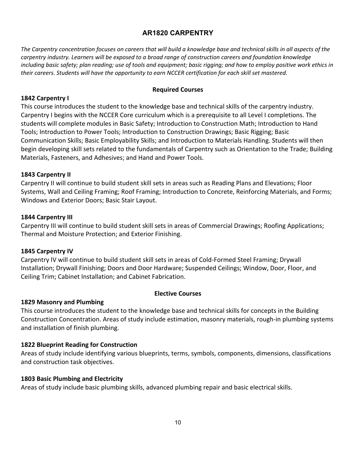# **AR1820 CARPENTRY**

<span id="page-9-0"></span>*The Carpentry concentration focuses on careers that will build a knowledge base and technical skills in all aspects of the carpentry industry. Learners will be exposed to a broad range of construction careers and foundation knowledge including basic safety; plan reading; use of tools and equipment; basic rigging; and how to employ positive work ethics in their careers. Students will have the opportunity to earn NCCER certification for each skill set mastered.*

#### **Required Courses**

#### **1842 Carpentry I**

This course introduces the student to the knowledge base and technical skills of the carpentry industry. Carpentry I begins with the NCCER Core curriculum which is a prerequisite to all Level I completions. The students will complete modules in Basic Safety; Introduction to Construction Math; Introduction to Hand Tools; Introduction to Power Tools; Introduction to Construction Drawings; Basic Rigging; Basic Communication Skills; Basic Employability Skills; and Introduction to Materials Handling. Students will then begin developing skill sets related to the fundamentals of Carpentry such as Orientation to the Trade; Building Materials, Fasteners, and Adhesives; and Hand and Power Tools.

#### **1843 Carpentry II**

Carpentry II will continue to build student skill sets in areas such as Reading Plans and Elevations; Floor Systems, Wall and Ceiling Framing; Roof Framing; Introduction to Concrete, Reinforcing Materials, and Forms; Windows and Exterior Doors; Basic Stair Layout.

#### **1844 Carpentry III**

Carpentry III will continue to build student skill sets in areas of Commercial Drawings; Roofing Applications; Thermal and Moisture Protection; and Exterior Finishing.

#### **1845 Carpentry IV**

Carpentry IV will continue to build student skill sets in areas of Cold-Formed Steel Framing; Drywall Installation; Drywall Finishing; Doors and Door Hardware; Suspended Ceilings; Window, Door, Floor, and Ceiling Trim; Cabinet Installation; and Cabinet Fabrication.

#### **Elective Courses**

#### **1829 Masonry and Plumbing**

This course introduces the student to the knowledge base and technical skills for concepts in the Building Construction Concentration. Areas of study include estimation, masonry materials, rough-in plumbing systems and installation of finish plumbing.

#### **1822 Blueprint Reading for Construction**

Areas of study include identifying various blueprints, terms, symbols, components, dimensions, classifications and construction task objectives.

#### **1803 Basic Plumbing and Electricity**

Areas of study include basic plumbing skills, advanced plumbing repair and basic electrical skills.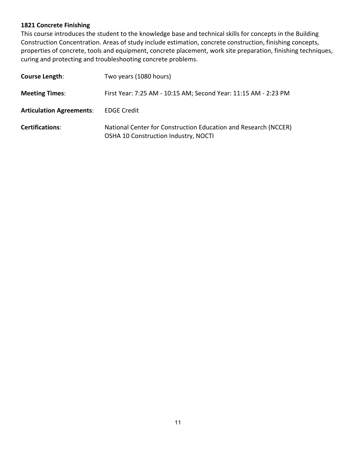## **1821 Concrete Finishing**

This course introduces the student to the knowledge base and technical skills for concepts in the Building Construction Concentration. Areas of study include estimation, concrete construction, finishing concepts, properties of concrete, tools and equipment, concrete placement, work site preparation, finishing techniques, curing and protecting and troubleshooting concrete problems.

| Course Length:                  | Two years (1080 hours)                                                                                  |
|---------------------------------|---------------------------------------------------------------------------------------------------------|
| <b>Meeting Times:</b>           | First Year: 7:25 AM - 10:15 AM; Second Year: 11:15 AM - 2:23 PM                                         |
| <b>Articulation Agreements:</b> | <b>EDGE Credit</b>                                                                                      |
| <b>Certifications:</b>          | National Center for Construction Education and Research (NCCER)<br>OSHA 10 Construction Industry, NOCTI |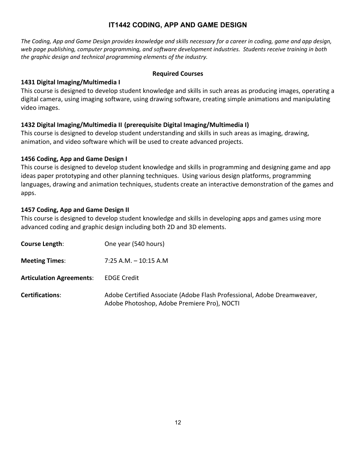# **IT1442 CODING, APP AND GAME DESIGN**

<span id="page-11-0"></span>*The Coding, App and Game Design provides knowledge and skills necessary for a career in coding, game and app design, web page publishing, computer programming, and software development industries. Students receive training in both the graphic design and technical programming elements of the industry.*

#### **Required Courses**

## **1431 Digital Imaging/Multimedia I**

This course is designed to develop student knowledge and skills in such areas as producing images, operating a digital camera, using imaging software, using drawing software, creating simple animations and manipulating video images.

## **1432 Digital Imaging/Multimedia II (prerequisite Digital Imaging/Multimedia I)**

This course is designed to develop student understanding and skills in such areas as imaging, drawing, animation, and video software which will be used to create advanced projects.

## **1456 Coding, App and Game Design I**

This course is designed to develop student knowledge and skills in programming and designing game and app ideas paper prototyping and other planning techniques. Using various design platforms, programming languages, drawing and animation techniques, students create an interactive demonstration of the games and apps.

## **1457 Coding, App and Game Design II**

This course is designed to develop student knowledge and skills in developing apps and games using more advanced coding and graphic design including both 2D and 3D elements.

| Course Length:                  | One year (540 hours)                                                                                                   |
|---------------------------------|------------------------------------------------------------------------------------------------------------------------|
| <b>Meeting Times:</b>           | $7:25$ A.M. $-10:15$ A.M                                                                                               |
| <b>Articulation Agreements:</b> | <b>EDGE Credit</b>                                                                                                     |
| <b>Certifications:</b>          | Adobe Certified Associate (Adobe Flash Professional, Adobe Dreamweaver,<br>Adobe Photoshop, Adobe Premiere Pro), NOCTI |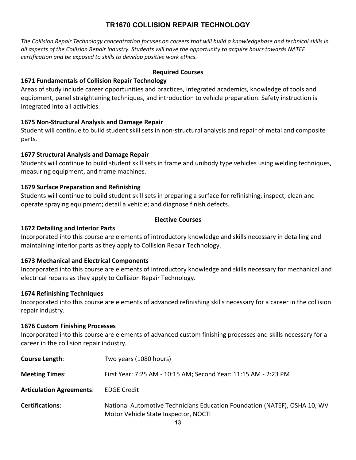# **TR1670 COLLISION REPAIR TECHNOLOGY**

<span id="page-12-0"></span>*The Collision Repair Technology concentration focuses on careers that will build a knowledgebase and technical skills in all aspects of the Collision Repair industry. Students will have the opportunity to acquire hours towards NATEF certification and be exposed to skills to develop positive work ethics.*

#### **Required Courses**

## **1671 Fundamentals of Collision Repair Technology**

Areas of study include career opportunities and practices, integrated academics, knowledge of tools and equipment, panel straightening techniques, and introduction to vehicle preparation. Safety instruction is integrated into all activities.

# **1675 Non-Structural Analysis and Damage Repair**

Student will continue to build student skill sets in non-structural analysis and repair of metal and composite parts.

## **1677 Structural Analysis and Damage Repair**

Students will continue to build student skill sets in frame and unibody type vehicles using welding techniques, measuring equipment, and frame machines.

# **1679 Surface Preparation and Refinishing**

Students will continue to build student skill sets in preparing a surface for refinishing; inspect, clean and operate spraying equipment; detail a vehicle; and diagnose finish defects.

## **Elective Courses**

## **1672 Detailing and Interior Parts**

Incorporated into this course are elements of introductory knowledge and skills necessary in detailing and maintaining interior parts as they apply to Collision Repair Technology.

# **1673 Mechanical and Electrical Components**

Incorporated into this course are elements of introductory knowledge and skills necessary for mechanical and electrical repairs as they apply to Collision Repair Technology.

#### **1674 Refinishing Techniques**

Incorporated into this course are elements of advanced refinishing skills necessary for a career in the collision repair industry.

#### **1676 Custom Finishing Processes**

Incorporated into this course are elements of advanced custom finishing processes and skills necessary for a career in the collision repair industry.

| Course Length:                  | Two years (1080 hours)                                                                                                          |
|---------------------------------|---------------------------------------------------------------------------------------------------------------------------------|
| <b>Meeting Times:</b>           | First Year: 7:25 AM - 10:15 AM; Second Year: 11:15 AM - 2:23 PM                                                                 |
| <b>Articulation Agreements:</b> | <b>EDGE Credit</b>                                                                                                              |
| <b>Certifications:</b>          | National Automotive Technicians Education Foundation (NATEF), OSHA 10, WV<br>Motor Vehicle State Inspector, NOCTI<br>$\sqrt{2}$ |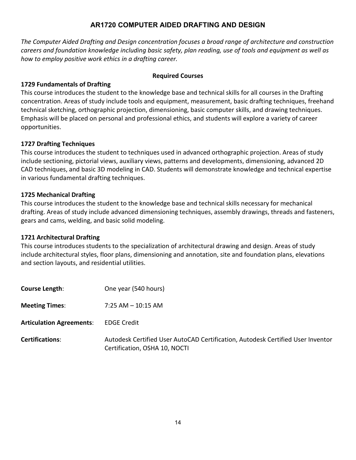# **AR1720 COMPUTER AIDED DRAFTING AND DESIGN**

<span id="page-13-0"></span>*The Computer Aided Drafting and Design concentration focuses a broad range of architecture and construction careers and foundation knowledge including basic safety, plan reading, use of tools and equipment as well as how to employ positive work ethics in a drafting career.*

## **Required Courses**

# **1729 Fundamentals of Drafting**

This course introduces the student to the knowledge base and technical skills for all courses in the Drafting concentration. Areas of study include tools and equipment, measurement, basic drafting techniques, freehand technical sketching, orthographic projection, dimensioning, basic computer skills, and drawing techniques. Emphasis will be placed on personal and professional ethics, and students will explore a variety of career opportunities.

# **1727 Drafting Techniques**

This course introduces the student to techniques used in advanced orthographic projection. Areas of study include sectioning, pictorial views, auxiliary views, patterns and developments, dimensioning, advanced 2D CAD techniques, and basic 3D modeling in CAD. Students will demonstrate knowledge and technical expertise in various fundamental drafting techniques.

# **1725 Mechanical Drafting**

This course introduces the student to the knowledge base and technical skills necessary for mechanical drafting. Areas of study include advanced dimensioning techniques, assembly drawings, threads and fasteners, gears and cams, welding, and basic solid modeling.

# **1721 Architectural Drafting**

This course introduces students to the specialization of architectural drawing and design. Areas of study include architectural styles, floor plans, dimensioning and annotation, site and foundation plans, elevations and section layouts, and residential utilities.

| <b>Course Length:</b>           | One year (540 hours)                                                                                             |
|---------------------------------|------------------------------------------------------------------------------------------------------------------|
| <b>Meeting Times:</b>           | $7:25$ AM $-$ 10:15 AM                                                                                           |
| <b>Articulation Agreements:</b> | <b>EDGE Credit</b>                                                                                               |
| <b>Certifications:</b>          | Autodesk Certified User AutoCAD Certification, Autodesk Certified User Inventor<br>Certification, OSHA 10, NOCTI |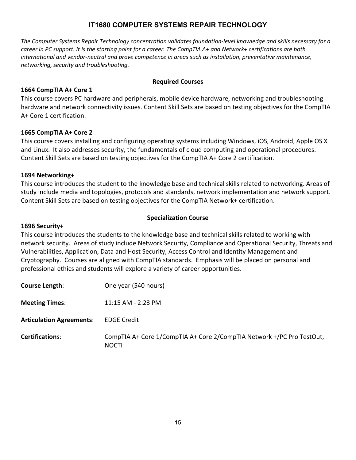# **IT1680 COMPUTER SYSTEMS REPAIR TECHNOLOGY**

<span id="page-14-0"></span>*The Computer Systems Repair Technology concentration validates foundation-level knowledge and skills necessary for a career in PC support. It is the starting point for a career. The CompTIA A+ and Network+ certifications are both international and vendor-neutral and prove competence in areas such as installation, preventative maintenance, networking, security and troubleshooting.*

## **Required Courses**

## **1664 CompTIA A+ Core 1**

This course covers PC hardware and peripherals, mobile device hardware, networking and troubleshooting hardware and network connectivity issues. Content Skill Sets are based on testing objectives for the CompTIA A+ Core 1 certification.

## **1665 CompTIA A+ Core 2**

This course covers installing and configuring operating systems including Windows, iOS, Android, Apple OS X and Linux. It also addresses security, the fundamentals of cloud computing and operational procedures. Content Skill Sets are based on testing objectives for the CompTIA A+ Core 2 certification.

## **1694 Networking+**

This course introduces the student to the knowledge base and technical skills related to networking. Areas of study include media and topologies, protocols and standards, network implementation and network support. Content Skill Sets are based on testing objectives for the CompTIA Network+ certification.

## **Specialization Course**

#### **1696 Security+**

This course introduces the students to the knowledge base and technical skills related to working with network security. Areas of study include Network Security, Compliance and Operational Security, Threats and Vulnerabilities, Application, Data and Host Security, Access Control and Identity Management and Cryptography. Courses are aligned with CompTIA standards. Emphasis will be placed on personal and professional ethics and students will explore a variety of career opportunities.

| Course Length:                  | One year (540 hours)                                                                  |
|---------------------------------|---------------------------------------------------------------------------------------|
| <b>Meeting Times:</b>           | 11:15 AM - 2:23 PM                                                                    |
| <b>Articulation Agreements:</b> | <b>EDGE Credit</b>                                                                    |
| <b>Certifications:</b>          | CompTIA A+ Core 1/CompTIA A+ Core 2/CompTIA Network +/PC Pro TestOut,<br><b>NOCTI</b> |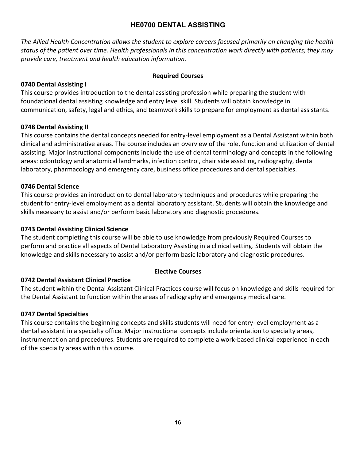# **HE0700 DENTAL ASSISTING**

<span id="page-15-0"></span>*The Allied Health Concentration allows the student to explore careers focused primarily on changing the health status of the patient over time. Health professionals in this concentration work directly with patients; they may provide care, treatment and health education information.*

# **Required Courses**

# **0740 Dental Assisting I**

This course provides introduction to the dental assisting profession while preparing the student with foundational dental assisting knowledge and entry level skill. Students will obtain knowledge in communication, safety, legal and ethics, and teamwork skills to prepare for employment as dental assistants.

## **0748 Dental Assisting II**

This course contains the dental concepts needed for entry-level employment as a Dental Assistant within both clinical and administrative areas. The course includes an overview of the role, function and utilization of dental assisting. Major instructional components include the use of dental terminology and concepts in the following areas: odontology and anatomical landmarks, infection control, chair side assisting, radiography, dental laboratory, pharmacology and emergency care, business office procedures and dental specialties.

## **0746 Dental Science**

This course provides an introduction to dental laboratory techniques and procedures while preparing the student for entry-level employment as a dental laboratory assistant. Students will obtain the knowledge and skills necessary to assist and/or perform basic laboratory and diagnostic procedures.

## **0743 Dental Assisting Clinical Science**

The student completing this course will be able to use knowledge from previously Required Courses to perform and practice all aspects of Dental Laboratory Assisting in a clinical setting. Students will obtain the knowledge and skills necessary to assist and/or perform basic laboratory and diagnostic procedures.

# **Elective Courses**

# **0742 Dental Assistant Clinical Practice**

The student within the Dental Assistant Clinical Practices course will focus on knowledge and skills required for the Dental Assistant to function within the areas of radiography and emergency medical care.

#### **0747 Dental Specialties**

This course contains the beginning concepts and skills students will need for entry-level employment as a dental assistant in a specialty office. Major instructional concepts include orientation to specialty areas, instrumentation and procedures. Students are required to complete a work-based clinical experience in each of the specialty areas within this course.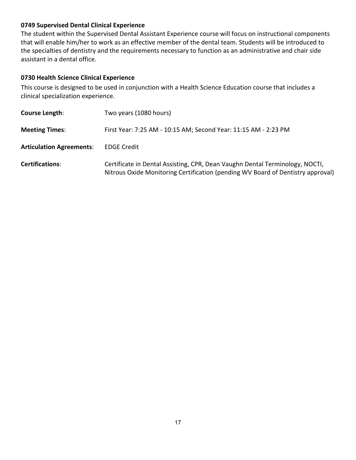# **0749 Supervised Dental Clinical Experience**

The student within the Supervised Dental Assistant Experience course will focus on instructional components that will enable him/her to work as an effective member of the dental team. Students will be introduced to the specialties of dentistry and the requirements necessary to function as an administrative and chair side assistant in a dental office.

# **0730 Health Science Clinical Experience**

This course is designed to be used in conjunction with a Health Science Education course that includes a clinical specialization experience.

| <b>Course Length:</b>           | Two years (1080 hours)                                                                                                                                          |
|---------------------------------|-----------------------------------------------------------------------------------------------------------------------------------------------------------------|
| <b>Meeting Times:</b>           | First Year: 7:25 AM - 10:15 AM; Second Year: 11:15 AM - 2:23 PM                                                                                                 |
| <b>Articulation Agreements:</b> | <b>EDGE Credit</b>                                                                                                                                              |
| <b>Certifications:</b>          | Certificate in Dental Assisting, CPR, Dean Vaughn Dental Terminology, NOCTI,<br>Nitrous Oxide Monitoring Certification (pending WV Board of Dentistry approval) |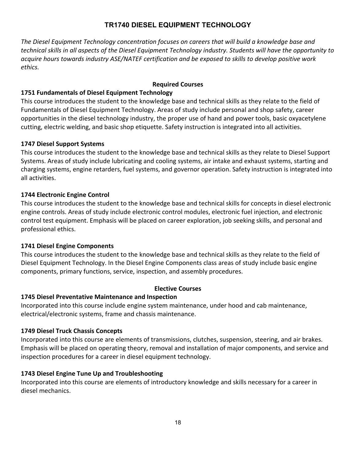# **TR1740 DIESEL EQUIPMENT TECHNOLOGY**

<span id="page-17-0"></span>*The Diesel Equipment Technology concentration focuses on careers that will build a knowledge base and technical skills in all aspects of the Diesel Equipment Technology industry. Students will have the opportunity to acquire hours towards industry ASE/NATEF certification and be exposed to skills to develop positive work ethics.*

# **Required Courses**

# **1751 Fundamentals of Diesel Equipment Technology**

This course introduces the student to the knowledge base and technical skills as they relate to the field of Fundamentals of Diesel Equipment Technology. Areas of study include personal and shop safety, career opportunities in the diesel technology industry, the proper use of hand and power tools, basic oxyacetylene cutting, electric welding, and basic shop etiquette. Safety instruction is integrated into all activities.

## **1747 Diesel Support Systems**

This course introduces the student to the knowledge base and technical skills as they relate to Diesel Support Systems. Areas of study include lubricating and cooling systems, air intake and exhaust systems, starting and charging systems, engine retarders, fuel systems, and governor operation. Safety instruction is integrated into all activities.

## **1744 Electronic Engine Control**

This course introduces the student to the knowledge base and technical skills for concepts in diesel electronic engine controls. Areas of study include electronic control modules, electronic fuel injection, and electronic control test equipment. Emphasis will be placed on career exploration, job seeking skills, and personal and professional ethics.

# **1741 Diesel Engine Components**

This course introduces the student to the knowledge base and technical skills as they relate to the field of Diesel Equipment Technology. In the Diesel Engine Components class areas of study include basic engine components, primary functions, service, inspection, and assembly procedures.

#### **Elective Courses**

#### **1745 Diesel Preventative Maintenance and Inspection**

Incorporated into this course include engine system maintenance, under hood and cab maintenance, electrical/electronic systems, frame and chassis maintenance.

# **1749 Diesel Truck Chassis Concepts**

Incorporated into this course are elements of transmissions, clutches, suspension, steering, and air brakes. Emphasis will be placed on operating theory, removal and installation of major components, and service and inspection procedures for a career in diesel equipment technology.

# **1743 Diesel Engine Tune Up and Troubleshooting**

Incorporated into this course are elements of introductory knowledge and skills necessary for a career in diesel mechanics.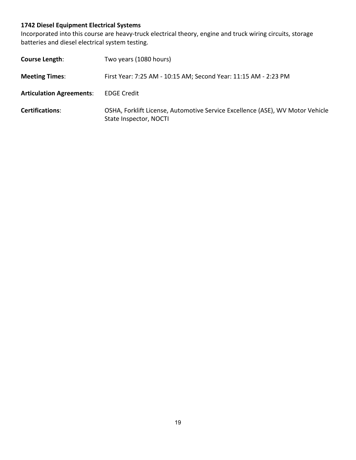# **1742 Diesel Equipment Electrical Systems**

Incorporated into this course are heavy-truck electrical theory, engine and truck wiring circuits, storage batteries and diesel electrical system testing.

| Course Length:                  | Two years (1080 hours)                                                                                  |
|---------------------------------|---------------------------------------------------------------------------------------------------------|
| <b>Meeting Times:</b>           | First Year: 7:25 AM - 10:15 AM; Second Year: 11:15 AM - 2:23 PM                                         |
| <b>Articulation Agreements:</b> | <b>EDGE Credit</b>                                                                                      |
| <b>Certifications:</b>          | OSHA, Forklift License, Automotive Service Excellence (ASE), WV Motor Vehicle<br>State Inspector, NOCTI |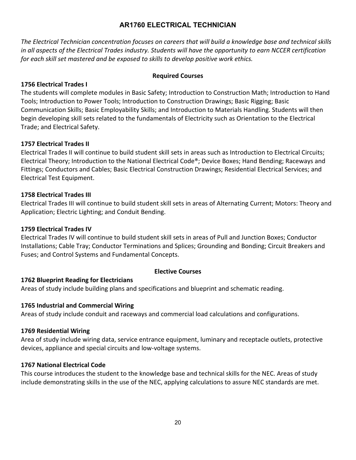# **AR1760 ELECTRICAL TECHNICIAN**

<span id="page-19-0"></span>*The Electrical Technician concentration focuses on careers that will build a knowledge base and technical skills in all aspects of the Electrical Trades industry. Students will have the opportunity to earn NCCER certification for each skill set mastered and be exposed to skills to develop positive work ethics.*

# **Required Courses**

# **1756 Electrical Trades I**

The students will complete modules in Basic Safety; Introduction to Construction Math; Introduction to Hand Tools; Introduction to Power Tools; Introduction to Construction Drawings; Basic Rigging; Basic Communication Skills; Basic Employability Skills; and Introduction to Materials Handling. Students will then begin developing skill sets related to the fundamentals of Electricity such as Orientation to the Electrical Trade; and Electrical Safety.

## **1757 Electrical Trades II**

Electrical Trades II will continue to build student skill sets in areas such as Introduction to Electrical Circuits; Electrical Theory; Introduction to the National Electrical Code®; Device Boxes; Hand Bending; Raceways and Fittings; Conductors and Cables; Basic Electrical Construction Drawings; Residential Electrical Services; and Electrical Test Equipment.

## **1758 Electrical Trades III**

Electrical Trades III will continue to build student skill sets in areas of Alternating Current; Motors: Theory and Application; Electric Lighting; and Conduit Bending.

#### **1759 Electrical Trades IV**

Electrical Trades IV will continue to build student skill sets in areas of Pull and Junction Boxes; Conductor Installations; Cable Tray; Conductor Terminations and Splices; Grounding and Bonding; Circuit Breakers and Fuses; and Control Systems and Fundamental Concepts.

#### **Elective Courses**

# **1762 Blueprint Reading for Electricians**

Areas of study include building plans and specifications and blueprint and schematic reading.

#### **1765 Industrial and Commercial Wiring**

Areas of study include conduit and raceways and commercial load calculations and configurations.

#### **1769 Residential Wiring**

Area of study include wiring data, service entrance equipment, luminary and receptacle outlets, protective devices, appliance and special circuits and low-voltage systems.

#### **1767 National Electrical Code**

This course introduces the student to the knowledge base and technical skills for the NEC. Areas of study include demonstrating skills in the use of the NEC, applying calculations to assure NEC standards are met.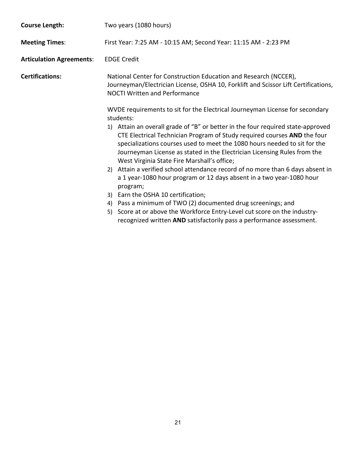| <b>Course Length:</b>           | Two years (1080 hours)                                                                                                                                                                                                                                                                                                                                                                                                                                                                                                                                                                                                                                                                                                                                                                                                                                                                                  |  |  |  |  |  |
|---------------------------------|---------------------------------------------------------------------------------------------------------------------------------------------------------------------------------------------------------------------------------------------------------------------------------------------------------------------------------------------------------------------------------------------------------------------------------------------------------------------------------------------------------------------------------------------------------------------------------------------------------------------------------------------------------------------------------------------------------------------------------------------------------------------------------------------------------------------------------------------------------------------------------------------------------|--|--|--|--|--|
| <b>Meeting Times:</b>           | First Year: 7:25 AM - 10:15 AM; Second Year: 11:15 AM - 2:23 PM                                                                                                                                                                                                                                                                                                                                                                                                                                                                                                                                                                                                                                                                                                                                                                                                                                         |  |  |  |  |  |
| <b>Articulation Agreements:</b> | <b>EDGE Credit</b>                                                                                                                                                                                                                                                                                                                                                                                                                                                                                                                                                                                                                                                                                                                                                                                                                                                                                      |  |  |  |  |  |
| <b>Certifications:</b>          | National Center for Construction Education and Research (NCCER),<br>Journeyman/Electrician License, OSHA 10, Forklift and Scissor Lift Certifications,<br><b>NOCTI Written and Performance</b>                                                                                                                                                                                                                                                                                                                                                                                                                                                                                                                                                                                                                                                                                                          |  |  |  |  |  |
|                                 | WVDE requirements to sit for the Electrical Journeyman License for secondary<br>students:<br>Attain an overall grade of "B" or better in the four required state-approved<br>1)<br>CTE Electrical Technician Program of Study required courses AND the four<br>specializations courses used to meet the 1080 hours needed to sit for the<br>Journeyman License as stated in the Electrician Licensing Rules from the<br>West Virginia State Fire Marshall's office;<br>2) Attain a verified school attendance record of no more than 6 days absent in<br>a 1 year-1080 hour program or 12 days absent in a two year-1080 hour<br>program;<br>3) Earn the OSHA 10 certification;<br>Pass a minimum of TWO (2) documented drug screenings; and<br>4)<br>5) Score at or above the Workforce Entry-Level cut score on the industry-<br>recognized written AND satisfactorily pass a performance assessment. |  |  |  |  |  |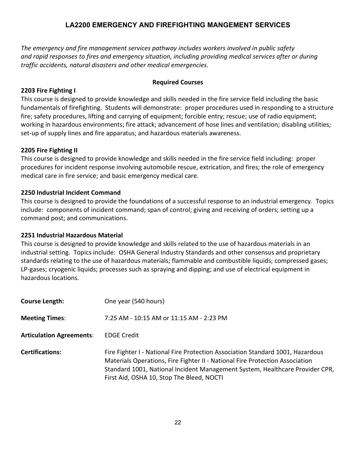# **LA2200 EMERGENCY AND FIREFIGHTING MANGEMENT SERVICES**

<span id="page-21-0"></span>*The emergency and fire management services pathway includes workers involved in public safety and rapid responses to fires and emergency situation, including providing medical services after or during traffic accidents, natural disasters and other medical emergencies.*

## **Required Courses**

# **2203 Fire Fighting I**

This course is designed to provide knowledge and skills needed in the fire service field including the basic fundamentals of firefighting. Students will demonstrate: proper procedures used in responding to a structure fire; safety procedures, lifting and carrying of equipment; forcible entry; rescue; use of radio equipment; working in hazardous environments; fire attack; advancement of hose lines and ventilation; disabling utilities; set-up of supply lines and fire apparatus; and hazardous materials awareness.

## **2205 Fire Fighting II**

This course is designed to provide knowledge and skills needed in the fire service field including: proper procedures for incident response involving automobile rescue, extrication, and fires; the role of emergency medical care in fire service; and basic emergency medical care.

## **2250 Industrial Incident Command**

This course is designed to provide the foundations of a successful response to an industrial emergency. Topics include: components of incident command; span of control; giving and receiving of orders; setting up a command post; and communications.

# **2251 Industrial Hazardous Material**

This course is designed to provide knowledge and skills related to the use of hazardous materials in an industrial setting. Topics include: OSHA General Industry Standards and other consensus and proprietary standards relating to the use of hazardous materials; flammable and combustible liquids; compressed gases; LP-gases; cryogenic liquids; processes such as spraying and dipping; and use of electrical equipment in hazardous locations.

| <b>Course Length:</b>           | One year (540 hours)                                                                                                                                                                                                                                                                        |
|---------------------------------|---------------------------------------------------------------------------------------------------------------------------------------------------------------------------------------------------------------------------------------------------------------------------------------------|
| <b>Meeting Times:</b>           | 7:25 AM - 10:15 AM or 11:15 AM - 2:23 PM                                                                                                                                                                                                                                                    |
| <b>Articulation Agreements:</b> | <b>EDGE Credit</b>                                                                                                                                                                                                                                                                          |
| <b>Certifications:</b>          | Fire Fighter I - National Fire Protection Association Standard 1001, Hazardous<br>Materials Operations, Fire Fighter II - National Fire Protection Association<br>Standard 1001, National Incident Management System, Healthcare Provider CPR,<br>First Aid, OSHA 10, Stop The Bleed, NOCTI |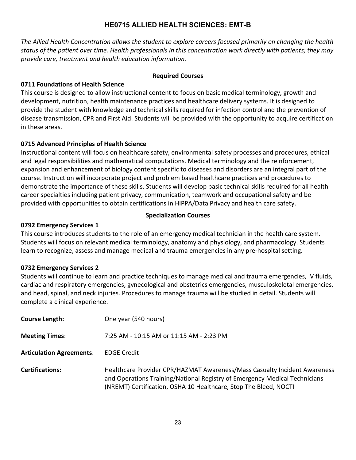# **HE0715 ALLIED HEALTH SCIENCES: EMT-B**

<span id="page-22-0"></span>*The Allied Health Concentration allows the student to explore careers focused primarily on changing the health status of the patient over time. Health professionals in this concentration work directly with patients; they may provide care, treatment and health education information.*

## **Required Courses**

# **0711 Foundations of Health Science**

This course is designed to allow instructional content to focus on basic medical terminology, growth and development, nutrition, health maintenance practices and healthcare delivery systems. It is designed to provide the student with knowledge and technical skills required for infection control and the prevention of disease transmission, CPR and First Aid. Students will be provided with the opportunity to acquire certification in these areas.

# **0715 Advanced Principles of Health Science**

Instructional content will focus on healthcare safety, environmental safety processes and procedures, ethical and legal responsibilities and mathematical computations. Medical terminology and the reinforcement, expansion and enhancement of biology content specific to diseases and disorders are an integral part of the course. Instruction will incorporate project and problem based healthcare practices and procedures to demonstrate the importance of these skills. Students will develop basic technical skills required for all health career specialties including patient privacy, communication, teamwork and occupational safety and be provided with opportunities to obtain certifications in HIPPA/Data Privacy and health care safety.

# **Specialization Courses**

# **0792 Emergency Services 1**

This course introduces students to the role of an emergency medical technician in the health care system. Students will focus on relevant medical terminology, anatomy and physiology, and pharmacology. Students learn to recognize, assess and manage medical and trauma emergencies in any pre-hospital setting.

# **0732 Emergency Services 2**

Students will continue to learn and practice techniques to manage medical and trauma emergencies, IV fluids, cardiac and respiratory emergencies, gynecological and obstetrics emergencies, musculoskeletal emergencies, and head, spinal, and neck injuries. Procedures to manage trauma will be studied in detail. Students will complete a clinical experience.

| <b>Course Length:</b>           | One year (540 hours)                                                                                                                                                                                                        |
|---------------------------------|-----------------------------------------------------------------------------------------------------------------------------------------------------------------------------------------------------------------------------|
| <b>Meeting Times:</b>           | 7:25 AM - 10:15 AM or 11:15 AM - 2:23 PM                                                                                                                                                                                    |
| <b>Articulation Agreements:</b> | <b>EDGE Credit</b>                                                                                                                                                                                                          |
| <b>Certifications:</b>          | Healthcare Provider CPR/HAZMAT Awareness/Mass Casualty Incident Awareness<br>and Operations Training/National Registry of Emergency Medical Technicians<br>(NREMT) Certification, OSHA 10 Healthcare, Stop The Bleed, NOCTI |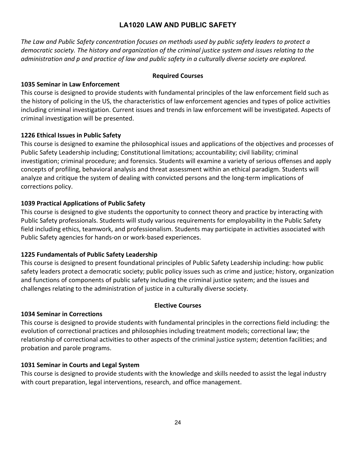# **LA1020 LAW AND PUBLIC SAFETY**

<span id="page-23-0"></span>*The Law and Public Safety concentration focuses on methods used by public safety leaders to protect a democratic society. The history and organization of the criminal justice system and issues relating to the administration and p and practice of law and public safety in a culturally diverse society are explored.*

## **Required Courses**

# **1035 Seminar in Law Enforcement**

This course is designed to provide students with fundamental principles of the law enforcement field such as the history of policing in the US, the characteristics of law enforcement agencies and types of police activities including criminal investigation. Current issues and trends in law enforcement will be investigated. Aspects of criminal investigation will be presented.

## **1226 Ethical Issues in Public Safety**

This course is designed to examine the philosophical issues and applications of the objectives and processes of Public Safety Leadership including; Constitutional limitations; accountability; civil liability; criminal investigation; criminal procedure; and forensics. Students will examine a variety of serious offenses and apply concepts of profiling, behavioral analysis and threat assessment within an ethical paradigm. Students will analyze and critique the system of dealing with convicted persons and the long-term implications of corrections policy.

# **1039 Practical Applications of Public Safety**

This course is designed to give students the opportunity to connect theory and practice by interacting with Public Safety professionals. Students will study various requirements for employability in the Public Safety field including ethics, teamwork, and professionalism. Students may participate in activities associated with Public Safety agencies for hands-on or work-based experiences.

# **1225 Fundamentals of Public Safety Leadership**

This course is designed to present foundational principles of Public Safety Leadership including: how public safety leaders protect a democratic society; public policy issues such as crime and justice; history, organization and functions of components of public safety including the criminal justice system; and the issues and challenges relating to the administration of justice in a culturally diverse society.

# **Elective Courses**

# **1034 Seminar in Corrections**

This course is designed to provide students with fundamental principles in the corrections field including: the evolution of correctional practices and philosophies including treatment models; correctional law; the relationship of correctional activities to other aspects of the criminal justice system; detention facilities; and probation and parole programs.

# **1031 Seminar in Courts and Legal System**

This course is designed to provide students with the knowledge and skills needed to assist the legal industry with court preparation, legal interventions, research, and office management.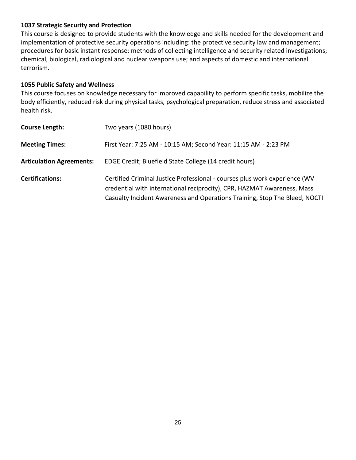# **1037 Strategic Security and Protection**

This course is designed to provide students with the knowledge and skills needed for the development and implementation of protective security operations including: the protective security law and management; procedures for basic instant response; methods of collecting intelligence and security related investigations; chemical, biological, radiological and nuclear weapons use; and aspects of domestic and international terrorism.

# **1055 Public Safety and Wellness**

This course focuses on knowledge necessary for improved capability to perform specific tasks, mobilize the body efficiently, reduced risk during physical tasks, psychological preparation, reduce stress and associated health risk.

| <b>Course Length:</b>           | Two years (1080 hours)                                                                                                                                                                                                              |
|---------------------------------|-------------------------------------------------------------------------------------------------------------------------------------------------------------------------------------------------------------------------------------|
| <b>Meeting Times:</b>           | First Year: 7:25 AM - 10:15 AM; Second Year: 11:15 AM - 2:23 PM                                                                                                                                                                     |
| <b>Articulation Agreements:</b> | EDGE Credit; Bluefield State College (14 credit hours)                                                                                                                                                                              |
| <b>Certifications:</b>          | Certified Criminal Justice Professional - courses plus work experience (WV<br>credential with international reciprocity), CPR, HAZMAT Awareness, Mass<br>Casualty Incident Awareness and Operations Training, Stop The Bleed, NOCTI |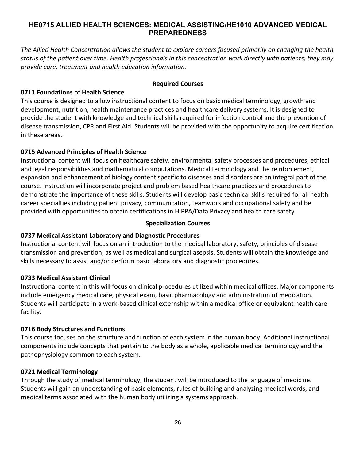# <span id="page-25-0"></span>**HE0715 ALLIED HEALTH SCIENCES: MEDICAL ASSISTING/HE1010 ADVANCED MEDICAL PREPAREDNESS**

*The Allied Health Concentration allows the student to explore careers focused primarily on changing the health status of the patient over time. Health professionals in this concentration work directly with patients; they may provide care, treatment and health education information.*

#### **Required Courses**

## **0711 Foundations of Health Science**

This course is designed to allow instructional content to focus on basic medical terminology, growth and development, nutrition, health maintenance practices and healthcare delivery systems. It is designed to provide the student with knowledge and technical skills required for infection control and the prevention of disease transmission, CPR and First Aid. Students will be provided with the opportunity to acquire certification in these areas.

## **0715 Advanced Principles of Health Science**

Instructional content will focus on healthcare safety, environmental safety processes and procedures, ethical and legal responsibilities and mathematical computations. Medical terminology and the reinforcement, expansion and enhancement of biology content specific to diseases and disorders are an integral part of the course. Instruction will incorporate project and problem based healthcare practices and procedures to demonstrate the importance of these skills. Students will develop basic technical skills required for all health career specialties including patient privacy, communication, teamwork and occupational safety and be provided with opportunities to obtain certifications in HIPPA/Data Privacy and health care safety.

#### **Specialization Courses**

# **0737 Medical Assistant Laboratory and Diagnostic Procedures**

Instructional content will focus on an introduction to the medical laboratory, safety, principles of disease transmission and prevention, as well as medical and surgical asepsis. Students will obtain the knowledge and skills necessary to assist and/or perform basic laboratory and diagnostic procedures.

# **0733 Medical Assistant Clinical**

Instructional content in this will focus on clinical procedures utilized within medical offices. Major components include emergency medical care, physical exam, basic pharmacology and administration of medication. Students will participate in a work-based clinical externship within a medical office or equivalent health care facility.

#### **0716 Body Structures and Functions**

This course focuses on the structure and function of each system in the human body. Additional instructional components include concepts that pertain to the body as a whole, applicable medical terminology and the pathophysiology common to each system.

#### **0721 Medical Terminology**

Through the study of medical terminology, the student will be introduced to the language of medicine. Students will gain an understanding of basic elements, rules of building and analyzing medical words, and medical terms associated with the human body utilizing a systems approach.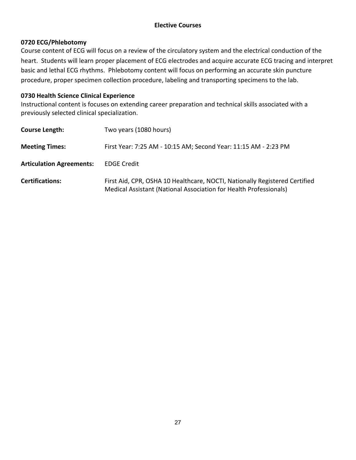# **0720 ECG/Phlebotomy**

Course content of ECG will focus on a review of the circulatory system and the electrical conduction of the heart. Students will learn proper placement of ECG electrodes and acquire accurate ECG tracing and interpret basic and lethal ECG rhythms. Phlebotomy content will focus on performing an accurate skin puncture procedure, proper specimen collection procedure, labeling and transporting specimens to the lab.

# **0730 Health Science Clinical Experience**

Instructional content is focuses on extending career preparation and technical skills associated with a previously selected clinical specialization.

| <b>Course Length:</b>           | Two years (1080 hours)                                                                                                                          |
|---------------------------------|-------------------------------------------------------------------------------------------------------------------------------------------------|
| <b>Meeting Times:</b>           | First Year: 7:25 AM - 10:15 AM; Second Year: 11:15 AM - 2:23 PM                                                                                 |
| <b>Articulation Agreements:</b> | <b>EDGE Credit</b>                                                                                                                              |
| <b>Certifications:</b>          | First Aid, CPR, OSHA 10 Healthcare, NOCTI, Nationally Registered Certified<br>Medical Assistant (National Association for Health Professionals) |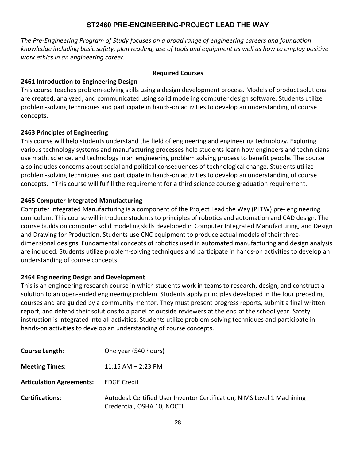# **ST2460 PRE-ENGINEERING-PROJECT LEAD THE WAY**

<span id="page-27-0"></span>*The Pre-Engineering Program of Study focuses on a broad range of engineering careers and foundation knowledge including basic safety, plan reading, use of tools and equipment as well as how to employ positive work ethics in an engineering career.*

#### **Required Courses**

# **2461 Introduction to Engineering Design**

This course teaches problem-solving skills using a design development process. Models of product solutions are created, analyzed, and communicated using solid modeling computer design software. Students utilize problem-solving techniques and participate in hands-on activities to develop an understanding of course concepts.

# **2463 Principles of Engineering**

This course will help students understand the field of engineering and engineering technology. Exploring various technology systems and manufacturing processes help students learn how engineers and technicians use math, science, and technology in an engineering problem solving process to benefit people. The course also includes concerns about social and political consequences of technological change. Students utilize problem-solving techniques and participate in hands-on activities to develop an understanding of course concepts. \*This course will fulfill the requirement for a third science course graduation requirement.

## **2465 Computer Integrated Manufacturing**

Computer Integrated Manufacturing is a component of the Project Lead the Way (PLTW) pre- engineering curriculum. This course will introduce students to principles of robotics and automation and CAD design. The course builds on computer solid modeling skills developed in Computer Integrated Manufacturing, and Design and Drawing for Production. Students use CNC equipment to produce actual models of their threedimensional designs. Fundamental concepts of robotics used in automated manufacturing and design analysis are included. Students utilize problem-solving techniques and participate in hands-on activities to develop an understanding of course concepts.

# **2464 Engineering Design and Development**

This is an engineering research course in which students work in teams to research, design, and construct a solution to an open-ended engineering problem. Students apply principles developed in the four preceding courses and are guided by a community mentor. They must present progress reports, submit a final written report, and defend their solutions to a panel of outside reviewers at the end of the school year. Safety instruction is integrated into all activities. Students utilize problem-solving techniques and participate in hands-on activities to develop an understanding of course concepts.

| <b>Course Length:</b>           | One year (540 hours)                                                                                 |
|---------------------------------|------------------------------------------------------------------------------------------------------|
| <b>Meeting Times:</b>           | $11:15$ AM $-$ 2:23 PM                                                                               |
| <b>Articulation Agreements:</b> | <b>EDGE Credit</b>                                                                                   |
| <b>Certifications:</b>          | Autodesk Certified User Inventor Certification, NIMS Level 1 Machining<br>Credential, OSHA 10, NOCTI |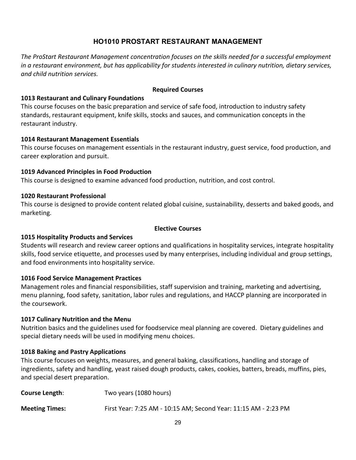# **HO1010 PROSTART RESTAURANT MANAGEMENT**

<span id="page-28-0"></span>*The ProStart Restaurant Management concentration focuses on the skills needed for a successful employment in a restaurant environment, but has applicability for students interested in culinary nutrition, dietary services, and child nutrition services.*

#### **Required Courses**

#### **1013 Restaurant and Culinary Foundations**

This course focuses on the basic preparation and service of safe food, introduction to industry safety standards, restaurant equipment, knife skills, stocks and sauces, and communication concepts in the restaurant industry.

#### **1014 Restaurant Management Essentials**

This course focuses on management essentials in the restaurant industry, guest service, food production, and career exploration and pursuit.

#### **1019 Advanced Principles in Food Production**

This course is designed to examine advanced food production, nutrition, and cost control.

#### **1020 Restaurant Professional**

This course is designed to provide content related global cuisine, sustainability, desserts and baked goods, and marketing.

#### **Elective Courses**

#### **1015 Hospitality Products and Services**

Students will research and review career options and qualifications in hospitality services, integrate hospitality skills, food service etiquette, and processes used by many enterprises, including individual and group settings, and food environments into hospitality service.

#### **1016 Food Service Management Practices**

Management roles and financial responsibilities, staff supervision and training, marketing and advertising, menu planning, food safety, sanitation, labor rules and regulations, and HACCP planning are incorporated in the coursework.

#### **1017 Culinary Nutrition and the Menu**

Nutrition basics and the guidelines used for foodservice meal planning are covered. Dietary guidelines and special dietary needs will be used in modifying menu choices.

#### **1018 Baking and Pastry Applications**

This course focuses on weights, measures, and general baking, classifications, handling and storage of ingredients, safety and handling, yeast raised dough products, cakes, cookies, batters, breads, muffins, pies, and special desert preparation.

| Course Length:        | Two years (1080 hours)                                          |
|-----------------------|-----------------------------------------------------------------|
| <b>Meeting Times:</b> | First Year: 7:25 AM - 10:15 AM; Second Year: 11:15 AM - 2:23 PM |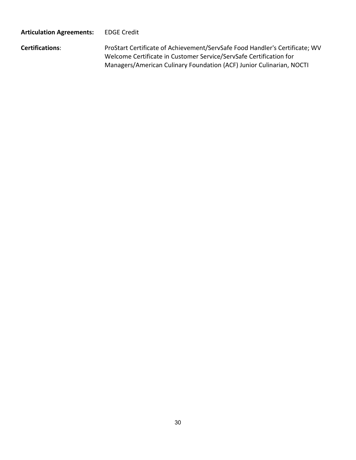# **Articulation Agreements:** EDGE Credit

**Certifications**: ProStart Certificate of Achievement/ServSafe Food Handler's Certificate; WV Welcome Certificate in Customer Service/ServSafe Certification for Managers/American Culinary Foundation (ACF) Junior Culinarian, NOCTI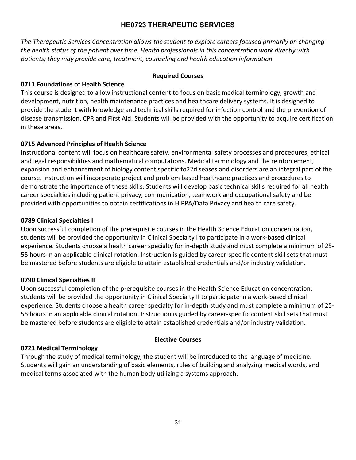# **HE0723 THERAPEUTIC SERVICES**

<span id="page-30-0"></span>*The Therapeutic Services Concentration allows the student to explore careers focused primarily on changing the health status of the patient over time. Health professionals in this concentration work directly with patients; they may provide care, treatment, counseling and health education information*

# **Required Courses**

# **0711 Foundations of Health Science**

This course is designed to allow instructional content to focus on basic medical terminology, growth and development, nutrition, health maintenance practices and healthcare delivery systems. It is designed to provide the student with knowledge and technical skills required for infection control and the prevention of disease transmission, CPR and First Aid. Students will be provided with the opportunity to acquire certification in these areas.

# **0715 Advanced Principles of Health Science**

Instructional content will focus on healthcare safety, environmental safety processes and procedures, ethical and legal responsibilities and mathematical computations. Medical terminology and the reinforcement, expansion and enhancement of biology content specific to27diseases and disorders are an integral part of the course. Instruction will incorporate project and problem based healthcare practices and procedures to demonstrate the importance of these skills. Students will develop basic technical skills required for all health career specialties including patient privacy, communication, teamwork and occupational safety and be provided with opportunities to obtain certifications in HIPPA/Data Privacy and health care safety.

# **0789 Clinical Specialties I**

Upon successful completion of the prerequisite courses in the Health Science Education concentration, students will be provided the opportunity in Clinical Specialty I to participate in a work-based clinical experience. Students choose a health career specialty for in-depth study and must complete a minimum of 25- 55 hours in an applicable clinical rotation. Instruction is guided by career-specific content skill sets that must be mastered before students are eligible to attain established credentials and/or industry validation.

# **0790 Clinical Specialties II**

Upon successful completion of the prerequisite courses in the Health Science Education concentration, students will be provided the opportunity in Clinical Specialty II to participate in a work-based clinical experience. Students choose a health career specialty for in-depth study and must complete a minimum of 25- 55 hours in an applicable clinical rotation. Instruction is guided by career-specific content skill sets that must be mastered before students are eligible to attain established credentials and/or industry validation.

# **Elective Courses**

# **0721 Medical Terminology**

Through the study of medical terminology, the student will be introduced to the language of medicine. Students will gain an understanding of basic elements, rules of building and analyzing medical words, and medical terms associated with the human body utilizing a systems approach.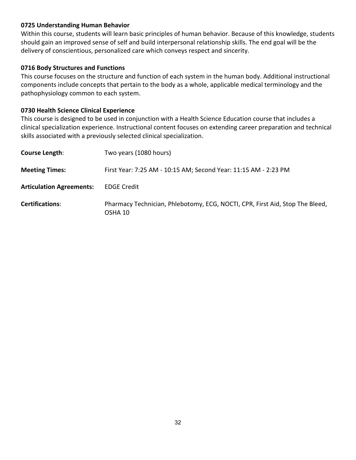## **0725 Understanding Human Behavior**

Within this course, students will learn basic principles of human behavior. Because of this knowledge, students should gain an improved sense of self and build interpersonal relationship skills. The end goal will be the delivery of conscientious, personalized care which conveys respect and sincerity.

#### **0716 Body Structures and Functions**

This course focuses on the structure and function of each system in the human body. Additional instructional components include concepts that pertain to the body as a whole, applicable medical terminology and the pathophysiology common to each system.

#### **0730 Health Science Clinical Experience**

This course is designed to be used in conjunction with a Health Science Education course that includes a clinical specialization experience. Instructional content focuses on extending career preparation and technical skills associated with a previously selected clinical specialization.

| <b>Course Length:</b>           | Two years (1080 hours)                                                                  |
|---------------------------------|-----------------------------------------------------------------------------------------|
| <b>Meeting Times:</b>           | First Year: 7:25 AM - 10:15 AM; Second Year: 11:15 AM - 2:23 PM                         |
| <b>Articulation Agreements:</b> | <b>EDGE Credit</b>                                                                      |
| <b>Certifications:</b>          | Pharmacy Technician, Phlebotomy, ECG, NOCTI, CPR, First Aid, Stop The Bleed,<br>OSHA 10 |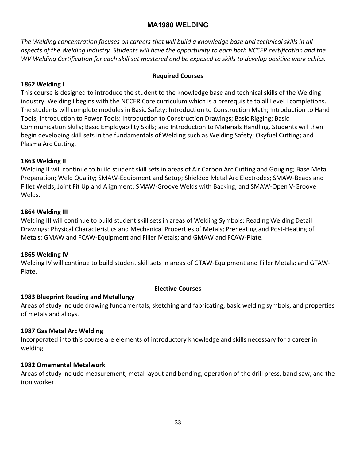# **MA1980 WELDING**

<span id="page-32-0"></span>*The Welding concentration focuses on careers that will build a knowledge base and technical skills in all aspects of the Welding industry. Students will have the opportunity to earn both NCCER certification and the WV Welding Certification for each skill set mastered and be exposed to skills to develop positive work ethics.*

## **Required Courses**

# **1862 Welding I**

This course is designed to introduce the student to the knowledge base and technical skills of the Welding industry. Welding I begins with the NCCER Core curriculum which is a prerequisite to all Level I completions. The students will complete modules in Basic Safety; Introduction to Construction Math; Introduction to Hand Tools; Introduction to Power Tools; Introduction to Construction Drawings; Basic Rigging; Basic Communication Skills; Basic Employability Skills; and Introduction to Materials Handling. Students will then begin developing skill sets in the fundamentals of Welding such as Welding Safety; Oxyfuel Cutting; and Plasma Arc Cutting.

## **1863 Welding II**

Welding II will continue to build student skill sets in areas of Air Carbon Arc Cutting and Gouging; Base Metal Preparation; Weld Quality; SMAW-Equipment and Setup; Shielded Metal Arc Electrodes; SMAW-Beads and Fillet Welds; Joint Fit Up and Alignment; SMAW-Groove Welds with Backing; and SMAW-Open V-Groove Welds.

#### **1864 Welding III**

Welding III will continue to build student skill sets in areas of Welding Symbols; Reading Welding Detail Drawings; Physical Characteristics and Mechanical Properties of Metals; Preheating and Post-Heating of Metals; GMAW and FCAW-Equipment and Filler Metals; and GMAW and FCAW-Plate.

#### **1865 Welding IV**

Welding IV will continue to build student skill sets in areas of GTAW-Equipment and Filler Metals; and GTAW-Plate.

#### **Elective Courses**

#### **1983 Blueprint Reading and Metallurgy**

Areas of study include drawing fundamentals, sketching and fabricating, basic welding symbols, and properties of metals and alloys.

#### **1987 Gas Metal Arc Welding**

Incorporated into this course are elements of introductory knowledge and skills necessary for a career in welding.

#### **1982 Ornamental Metalwork**

Areas of study include measurement, metal layout and bending, operation of the drill press, band saw, and the iron worker.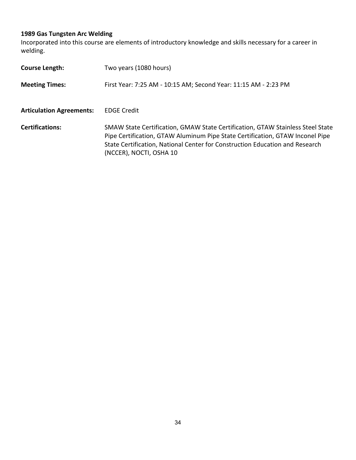# **1989 Gas Tungsten Arc Welding**

Incorporated into this course are elements of introductory knowledge and skills necessary for a career in welding.

| <b>Course Length:</b>           | Two years (1080 hours)                                                                                                                                                                                                                                                     |
|---------------------------------|----------------------------------------------------------------------------------------------------------------------------------------------------------------------------------------------------------------------------------------------------------------------------|
| <b>Meeting Times:</b>           | First Year: 7:25 AM - 10:15 AM; Second Year: 11:15 AM - 2:23 PM                                                                                                                                                                                                            |
| <b>Articulation Agreements:</b> | <b>EDGE Credit</b>                                                                                                                                                                                                                                                         |
| <b>Certifications:</b>          | SMAW State Certification, GMAW State Certification, GTAW Stainless Steel State<br>Pipe Certification, GTAW Aluminum Pipe State Certification, GTAW Inconel Pipe<br>State Certification, National Center for Construction Education and Research<br>(NCCER), NOCTI, OSHA 10 |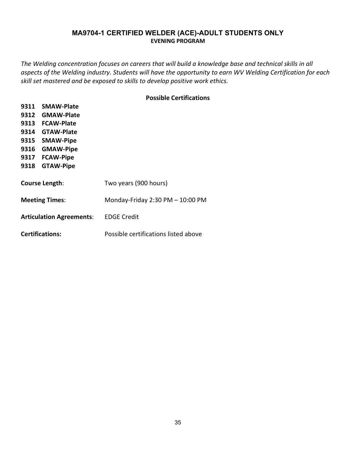## **MA9704-1 CERTIFIED WELDER (ACE)-ADULT STUDENTS ONLY EVENING PROGRAM**

<span id="page-34-1"></span><span id="page-34-0"></span>*The Welding concentration focuses on careers that will build a knowledge base and technical skills in all aspects of the Welding industry. Students will have the opportunity to earn WV Welding Certification for each skill set mastered and be exposed to skills to develop positive work ethics.*

#### **Possible Certifications**

| <b>SMAW-Plate</b><br>9311       |                                      |
|---------------------------------|--------------------------------------|
| <b>GMAW-Plate</b><br>9312       |                                      |
| <b>FCAW-Plate</b><br>9313       |                                      |
| <b>GTAW-Plate</b><br>9314       |                                      |
| 9315<br><b>SMAW-Pipe</b>        |                                      |
| 9316<br><b>GMAW-Pipe</b>        |                                      |
| <b>FCAW-Pipe</b><br>9317        |                                      |
| 9318<br><b>GTAW-Pipe</b>        |                                      |
|                                 |                                      |
| <b>Course Length:</b>           | Two years (900 hours)                |
|                                 |                                      |
| <b>Meeting Times:</b>           | Monday-Friday $2:30$ PM $- 10:00$ PM |
|                                 |                                      |
| <b>Articulation Agreements:</b> | <b>EDGE Credit</b>                   |
|                                 |                                      |
| <b>Certifications:</b>          | Possible certifications listed above |
|                                 |                                      |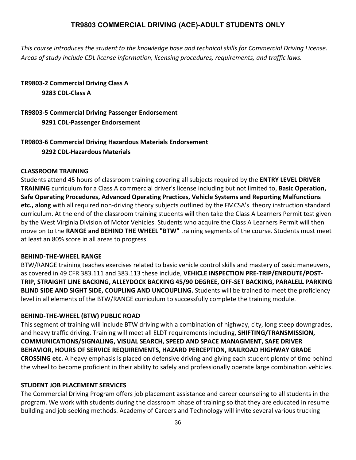# **TR9803 COMMERCIAL DRIVING (ACE)-ADULT STUDENTS ONLY**

<span id="page-35-0"></span>*This course introduces the student to the knowledge base and technical skills for Commercial Driving License. Areas of study include CDL license information, licensing procedures, requirements, and traffic laws.*

# **TR9803-2 Commercial Driving Class A 9283 CDL-Class A**

# **TR9803-5 Commercial Driving Passenger Endorsement 9291 CDL-Passenger Endorsement**

# **TR9803-6 Commercial Driving Hazardous Materials Endorsement 9292 CDL-Hazardous Materials**

# **CLASSROOM TRAINING**

Students attend 45 hours of classroom training covering all subjects required by the **ENTRY LEVEL DRIVER TRAINING** curriculum for a Class A commercial driver's license including but not limited to, **Basic Operation, Safe Operating Procedures, Advanced Operating Practices, Vehicle Systems and Reporting Malfunctions etc., along** with all required non-driving theory subjects outlined by the FMCSA's theory instruction standard curriculum. At the end of the classroom training students will then take the Class A Learners Permit test given by the West Virginia Division of Motor Vehicles. Students who acquire the Class A Learners Permit will then move on to the **RANGE and BEHIND THE WHEEL "BTW"** training segments of the course. Students must meet at least an 80% score in all areas to progress.

#### **BEHIND-THE-WHEEL RANGE**

BTW/RANGE training teaches exercises related to basic vehicle control skills and mastery of basic maneuvers, as covered in 49 CFR 383.111 and 383.113 these include, **VEHICLE INSPECTION PRE-TRIP/ENROUTE/POST-TRIP, STRAIGHT LINE BACKING, ALLEYDOCK BACKING 45/90 DEGREE, OFF-SET BACKING, PARALELL PARKING BLIND SIDE AND SIGHT SIDE, COUPLING AND UNCOUPLING.** Students will be trained to meet the proficiency level in all elements of the BTW/RANGE curriculum to successfully complete the training module.

# **BEHIND-THE-WHEEL (BTW) PUBLIC ROAD**

This segment of training will include BTW driving with a combination of highway, city, long steep downgrades, and heavy traffic driving. Training will meet all ELDT requirements including, **SHIFTING/TRANSMISSION, COMMUNICATIONS/SIGNALING, VISUAL SEARCH, SPEED AND SPACE MANAGMENT, SAFE DRIVER BEHAVIOR, HOURS OF SERVICE REQUIREMENTS, HAZARD PERCEPTION, RAILROAD HIGHWAY GRADE CROSSING etc.** A heavy emphasis is placed on defensive driving and giving each student plenty of time behind the wheel to become proficient in their ability to safely and professionally operate large combination vehicles.

#### **STUDENT JOB PLACEMENT SERVICES**

The Commercial Driving Program offers job placement assistance and career counseling to all students in the program. We work with students during the classroom phase of training so that they are educated in resume building and job seeking methods. Academy of Careers and Technology will invite several various trucking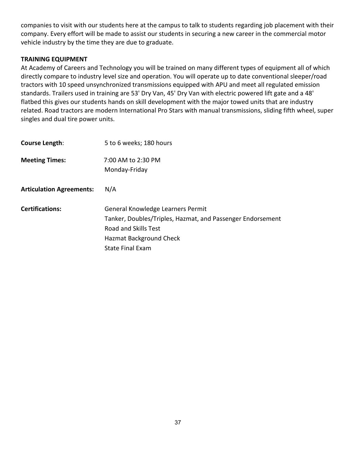companies to visit with our students here at the campus to talk to students regarding job placement with their company. Every effort will be made to assist our students in securing a new career in the commercial motor vehicle industry by the time they are due to graduate.

# **TRAINING EQUIPMENT**

At Academy of Careers and Technology you will be trained on many different types of equipment all of which directly compare to industry level size and operation. You will operate up to date conventional sleeper/road tractors with 10 speed unsynchronized transmissions equipped with APU and meet all regulated emission standards. Trailers used in training are 53' Dry Van, 45' Dry Van with electric powered lift gate and a 48' flatbed this gives our students hands on skill development with the major towed units that are industry related. Road tractors are modern International Pro Stars with manual transmissions, sliding fifth wheel, super singles and dual tire power units.

| Course Length:                  | 5 to 6 weeks; 180 hours                                    |
|---------------------------------|------------------------------------------------------------|
| <b>Meeting Times:</b>           | 7:00 AM to 2:30 PM                                         |
|                                 | Monday-Friday                                              |
| <b>Articulation Agreements:</b> | N/A                                                        |
| <b>Certifications:</b>          | General Knowledge Learners Permit                          |
|                                 | Tanker, Doubles/Triples, Hazmat, and Passenger Endorsement |
|                                 | Road and Skills Test                                       |
|                                 | Hazmat Background Check                                    |
|                                 | <b>State Final Exam</b>                                    |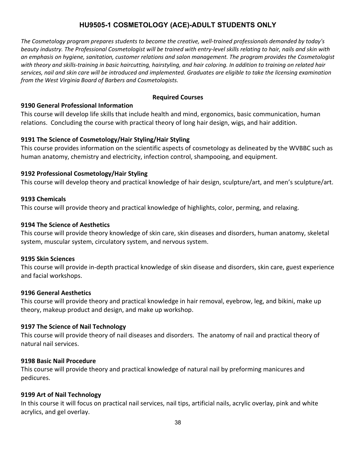# **HU9505-1 COSMETOLOGY (ACE)-ADULT STUDENTS ONLY**

<span id="page-37-0"></span>*The Cosmetology program prepares students to become the creative, well-trained professionals demanded by today's beauty industry. The Professional Cosmetologist will be trained with entry-level skills relating to hair, nails and skin with an emphasis on hygiene, sanitation, customer relations and salon management. The program provides the Cosmetologist with theory and skills-training in basic haircutting, hairstyling, and hair coloring. In addition to training on related hair services, nail and skin care will be introduced and implemented. Graduates are eligible to take the licensing examination from the West Virginia Board of Barbers and Cosmetologists.*

#### **Required Courses**

#### **9190 General Professional Information**

This course will develop life skills that include health and mind, ergonomics, basic communication, human relations. Concluding the course with practical theory of long hair design, wigs, and hair addition.

## **9191 The Science of Cosmetology/Hair Styling/Hair Styling**

This course provides information on the scientific aspects of cosmetology as delineated by the WVBBC such as human anatomy, chemistry and electricity, infection control, shampooing, and equipment.

## **9192 Professional Cosmetology/Hair Styling**

This course will develop theory and practical knowledge of hair design, sculpture/art, and men's sculpture/art.

#### **9193 Chemicals**

This course will provide theory and practical knowledge of highlights, color, perming, and relaxing.

#### **9194 The Science of Aesthetics**

This course will provide theory knowledge of skin care, skin diseases and disorders, human anatomy, skeletal system, muscular system, circulatory system, and nervous system.

#### **9195 Skin Sciences**

This course will provide in-depth practical knowledge of skin disease and disorders, skin care, guest experience and facial workshops.

#### **9196 General Aesthetics**

This course will provide theory and practical knowledge in hair removal, eyebrow, leg, and bikini, make up theory, makeup product and design, and make up workshop.

#### **9197 The Science of Nail Technology**

This course will provide theory of nail diseases and disorders. The anatomy of nail and practical theory of natural nail services.

#### **9198 Basic Nail Procedure**

This course will provide theory and practical knowledge of natural nail by preforming manicures and pedicures.

#### **9199 Art of Nail Technology**

In this course it will focus on practical nail services, nail tips, artificial nails, acrylic overlay, pink and white acrylics, and gel overlay.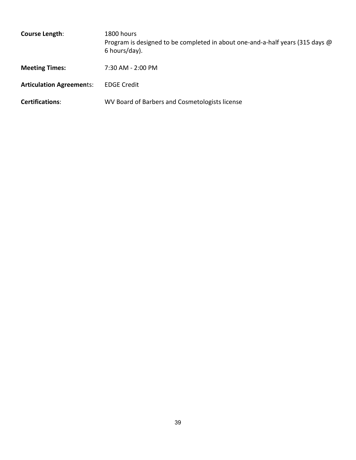| Course Length:                  | 1800 hours<br>Program is designed to be completed in about one-and-a-half years (315 days @<br>6 hours/day). |
|---------------------------------|--------------------------------------------------------------------------------------------------------------|
| <b>Meeting Times:</b>           | 7:30 AM - 2:00 PM                                                                                            |
| <b>Articulation Agreements:</b> | <b>EDGE Credit</b>                                                                                           |
| <b>Certifications:</b>          | WV Board of Barbers and Cosmetologists license                                                               |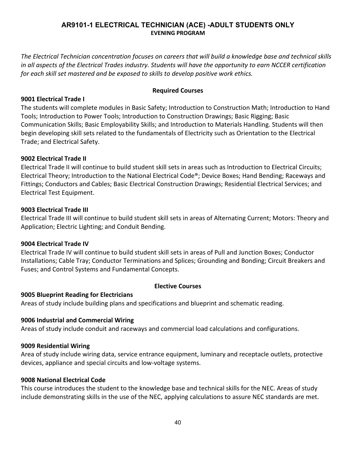# **AR9101-1 ELECTRICAL TECHNICIAN (ACE) -ADULT STUDENTS ONLY EVENING PROGRAM**

<span id="page-39-0"></span>*The Electrical Technician concentration focuses on careers that will build a knowledge base and technical skills in all aspects of the Electrical Trades industry. Students will have the opportunity to earn NCCER certification for each skill set mastered and be exposed to skills to develop positive work ethics.*

#### **Required Courses**

#### **9001 Electrical Trade I**

The students will complete modules in Basic Safety; Introduction to Construction Math; Introduction to Hand Tools; Introduction to Power Tools; Introduction to Construction Drawings; Basic Rigging; Basic Communication Skills; Basic Employability Skills; and Introduction to Materials Handling. Students will then begin developing skill sets related to the fundamentals of Electricity such as Orientation to the Electrical Trade; and Electrical Safety.

## **9002 Electrical Trade II**

Electrical Trade II will continue to build student skill sets in areas such as Introduction to Electrical Circuits; Electrical Theory; Introduction to the National Electrical Code®; Device Boxes; Hand Bending; Raceways and Fittings; Conductors and Cables; Basic Electrical Construction Drawings; Residential Electrical Services; and Electrical Test Equipment.

#### **9003 Electrical Trade III**

Electrical Trade III will continue to build student skill sets in areas of Alternating Current; Motors: Theory and Application; Electric Lighting; and Conduit Bending.

#### **9004 Electrical Trade IV**

Electrical Trade IV will continue to build student skill sets in areas of Pull and Junction Boxes; Conductor Installations; Cable Tray; Conductor Terminations and Splices; Grounding and Bonding; Circuit Breakers and Fuses; and Control Systems and Fundamental Concepts.

#### **Elective Courses**

#### **9005 Blueprint Reading for Electricians**

Areas of study include building plans and specifications and blueprint and schematic reading.

#### **9006 Industrial and Commercial Wiring**

Areas of study include conduit and raceways and commercial load calculations and configurations.

#### **9009 Residential Wiring**

Area of study include wiring data, service entrance equipment, luminary and receptacle outlets, protective devices, appliance and special circuits and low-voltage systems.

#### **9008 National Electrical Code**

This course introduces the student to the knowledge base and technical skills for the NEC. Areas of study include demonstrating skills in the use of the NEC, applying calculations to assure NEC standards are met.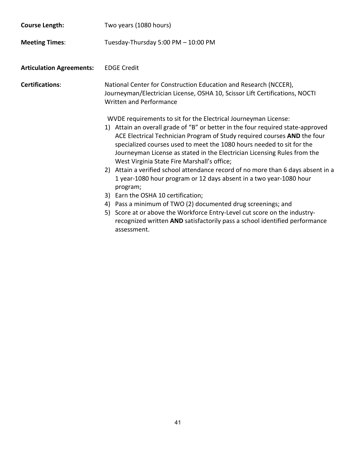| <b>Course Length:</b>           | Two years (1080 hours)                                                                                                                                                                                                                                                                                                                                                                                                             |
|---------------------------------|------------------------------------------------------------------------------------------------------------------------------------------------------------------------------------------------------------------------------------------------------------------------------------------------------------------------------------------------------------------------------------------------------------------------------------|
| <b>Meeting Times:</b>           | Tuesday-Thursday 5:00 PM - 10:00 PM                                                                                                                                                                                                                                                                                                                                                                                                |
| <b>Articulation Agreements:</b> | <b>EDGE Credit</b>                                                                                                                                                                                                                                                                                                                                                                                                                 |
| <b>Certifications:</b>          | National Center for Construction Education and Research (NCCER),<br>Journeyman/Electrician License, OSHA 10, Scissor Lift Certifications, NOCTI<br><b>Written and Performance</b>                                                                                                                                                                                                                                                  |
|                                 | WVDE requirements to sit for the Electrical Journeyman License:<br>1) Attain an overall grade of "B" or better in the four required state-approved<br>ACE Electrical Technician Program of Study required courses AND the four<br>specialized courses used to meet the 1080 hours needed to sit for the<br>Journeyman License as stated in the Electrician Licensing Rules from the<br>West Virginia State Fire Marshall's office; |
|                                 | 2) Attain a verified school attendance record of no more than 6 days absent in a<br>1 year-1080 hour program or 12 days absent in a two year-1080 hour<br>program;                                                                                                                                                                                                                                                                 |
|                                 | 3) Earn the OSHA 10 certification;                                                                                                                                                                                                                                                                                                                                                                                                 |
|                                 | Pass a minimum of TWO (2) documented drug screenings; and<br>4)                                                                                                                                                                                                                                                                                                                                                                    |
|                                 | 5) Score at or above the Workforce Entry-Level cut score on the industry-<br>recognized written AND satisfactorily pass a school identified performance<br>assessment.                                                                                                                                                                                                                                                             |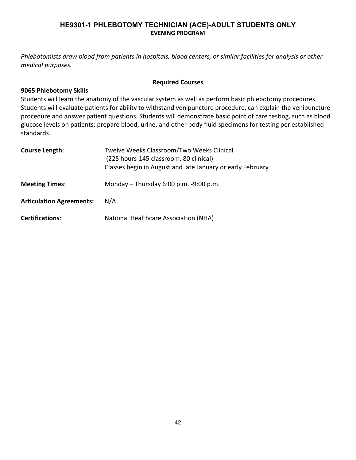# **HE9301-1 PHLEBOTOMY TECHNICIAN (ACE)-ADULT STUDENTS ONLY EVENING PROGRAM**

<span id="page-41-0"></span>*Phlebotomists draw blood from patients in hospitals, blood centers, or similar facilities for analysis or other medical purposes.*

#### **Required Courses**

#### **9065 Phlebotomy Skills**

Students will learn the anatomy of the vascular system as well as perform basic phlebotomy procedures. Students will evaluate patients for ability to withstand venipuncture procedure, can explain the venipuncture procedure and answer patient questions. Students will demonstrate basic point of care testing, such as blood glucose levels on patients; prepare blood, urine, and other body fluid specimens for testing per established standards.

| <b>Course Length:</b>           | Twelve Weeks Classroom/Two Weeks Clinical<br>(225 hours-145 classroom, 80 clinical)<br>Classes begin in August and late January or early February |
|---------------------------------|---------------------------------------------------------------------------------------------------------------------------------------------------|
| <b>Meeting Times:</b>           | Monday $-$ Thursday 6:00 p.m. $-9:00$ p.m.                                                                                                        |
| <b>Articulation Agreements:</b> | N/A                                                                                                                                               |
| <b>Certifications:</b>          | National Healthcare Association (NHA)                                                                                                             |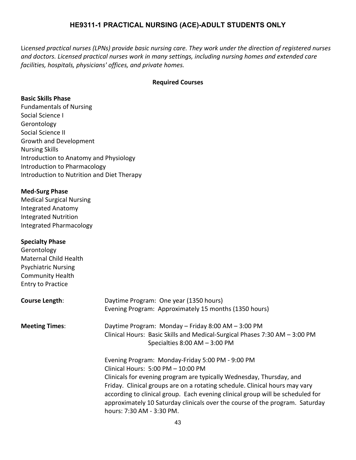# **HE9311-1 PRACTICAL NURSING (ACE)-ADULT STUDENTS ONLY**

<span id="page-42-0"></span>Li*censed practical nurses (LPNs) provide basic nursing care. They work under the direction of registered nurses and doctors. Licensed practical nurses work in many settings, including nursing homes and extended care facilities, hospitals, physicians' offices, and private homes.*

#### **Required Courses**

#### **Basic Skills Phase**

Fundamentals of Nursing Social Science I Gerontology Social Science II Growth and Development Nursing Skills Introduction to Anatomy and Physiology Introduction to Pharmacology Introduction to Nutrition and Diet Therapy

## **Med-Surg Phase**

Medical Surgical Nursing Integrated Anatomy Integrated Nutrition Integrated Pharmacology

#### **Specialty Phase**

Gerontology Maternal Child Health Psychiatric Nursing Community Health Entry to Practice

| Course Length:        | Daytime Program: One year (1350 hours)<br>Evening Program: Approximately 15 months (1350 hours)                                                                                                                                                                                                                                                                                                                                              |
|-----------------------|----------------------------------------------------------------------------------------------------------------------------------------------------------------------------------------------------------------------------------------------------------------------------------------------------------------------------------------------------------------------------------------------------------------------------------------------|
| <b>Meeting Times:</b> | Daytime Program: Monday - Friday 8:00 AM - 3:00 PM<br>Clinical Hours: Basic Skills and Medical-Surgical Phases 7:30 AM - 3:00 PM<br>Specialties $8:00$ AM $-3:00$ PM                                                                                                                                                                                                                                                                         |
|                       | Evening Program: Monday-Friday 5:00 PM - 9:00 PM<br>Clinical Hours: 5:00 PM - 10:00 PM<br>Clinicals for evening program are typically Wednesday, Thursday, and<br>Friday. Clinical groups are on a rotating schedule. Clinical hours may vary<br>according to clinical group. Each evening clinical group will be scheduled for<br>approximately 10 Saturday clinicals over the course of the program. Saturday<br>hours: 7:30 AM - 3:30 PM. |